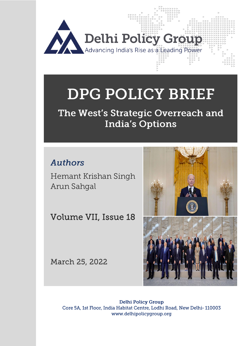

# DPG POLICY BRIEF

## The West's Strategic Overreach and **India's Options**

## **Authors**

Cc c

*Hemant Krishan Singh Arun Sahgal* 

Volume VII, Issue 18

March 25, 2022



**Delhi Policy Group** Core 5A, 1st Floor, India Habitat Centre, Lodhi Road, New Delhi-110003 www.delhipolicygroup.org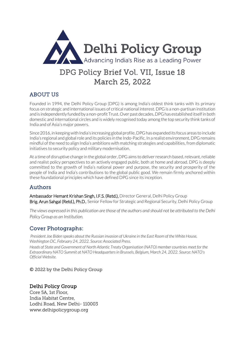

## DPG Policy Brief Vol. VII, Issue 18 March 25, 2022

## ABOUT US

Founded in 1994, the Delhi Policy Group (DPG) is among India's oldest think tanks with its primary focus on strategic and international issues of critical national interest. DPG is a non-partisan institution and is independently funded by a non-profit Trust. Over past decades, DPG has established itself in both domestic and international circles and is widely recognised today among the top security think tanks of India and of Asia's major powers.

Since 2016, in keeping with India's increasing global profile, DPG has expanded its focus areas to include India's regional and global role and its policies in the Indo-Pacific. In a realist environment, DPG remains mindful of the need to align India's ambitions with matching strategies and capabilities, from diplomatic initiatives to security policy and military modernisation.

At a time of disruptive change in the global order, DPG aims to deliver research based, relevant, reliable and realist policy perspectives to an actively engaged public, both at home and abroad. DPG is deeply committed to the growth of India's national power and purpose, the security and prosperity of the people of India and India's contributions to the global public good. We remain firmly anchored within these foundational principles which have defined DPG since its inception.

#### Authors

Ambassador Hemant Krishan Singh, I.F.S. (Retd.), Director General, Delhi Policy Group Brig. Arun Sahgal (Retd.), Ph.D., Senior Fellow for Strategic and Regional Security, Delhi Policy Group

*The views expressed in this publication are those of the authors and should not be attributed to the Delhi Policy Group as an Institution.*

## Cover Photographs:

*President Joe Biden speaks about the Russian invasion of Ukraine in the East Room of the White House, Washington DC, February 24, 2022. Source: Associated Press.* 

*Heads of State and Government of North Atlantic Treaty Organisation (NATO) member countries meet for the Extraordinary NATO Summit at NATO Headquarters in Brussels, Belgium, March 24, 2022. Source: NATO's Official Website.*

© 2022 by the Delhi Policy Group

#### Delhi Policy Group

Core 5A, 1st Floor, India Habitat Centre, Lodhi Road, New Delhi- 110003 www.delhipolicygroup.org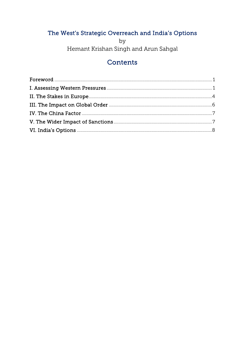## The West's Strategic Overreach and India's Options

 $by$ Hemant Krishan Singh and Arun Sahgal

## Contents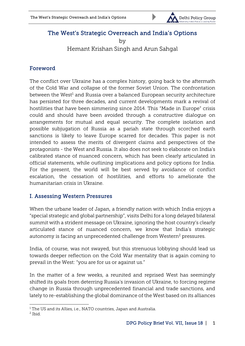

## The West's Strategic Overreach and India's Options

by Hemant Krishan Singh and Arun Sahgal

## <span id="page-3-0"></span>Foreword

The conflict over Ukraine has a complex history, going back to the aftermath of the Cold War and collapse of the former Soviet Union. The confrontation between the West<sup>1</sup> and Russia over a balanced European security architecture has persisted for three decades, and current developments mark a revival of hostilities that have been simmering since 2014. This "Made in Europe" crisis could and should have been avoided through a constructive dialogue on arrangements for mutual and equal security. The complete isolation and possible subjugation of Russia as a pariah state through scorched earth sanctions is likely to leave Europe scarred for decades. This paper is not intended to assess the merits of divergent claims and perspectives of the protagonists - the West and Russia. It also does not seek to elaborate on India's calibrated stance of nuanced concern, which has been clearly articulated in official statements, while outlining implications and policy options for India. For the present, the world will be best served by avoidance of conflict escalation, the cessation of hostilities, and efforts to ameliorate the humanitarian crisis in Ukraine.

#### <span id="page-3-1"></span>I. Assessing Western Pressures

When the urbane leader of Japan, a friendly nation with which India enjoys a "special strategic and global partnership", visits Delhi for a long delayed bilateral summit with a strident message on Ukraine, ignoring the host country's clearly articulated stance of nuanced concern, we know that India's strategic autonomy is facing an unprecedented challenge from Western<sup>2</sup> pressures.

India, of course, was not swayed, but this strenuous lobbying should lead us towards deeper reflection on the Cold War mentality that is again coming to prevail in the West: "you are for us or against us."

In the matter of a few weeks, a reunited and reprised West has seemingly shifted its goals from deterring Russia's invasion of Ukraine, to forcing regime change in Russia through unprecedented financial and trade sanctions, and lately to re-establishing the global dominance of the West based on its alliances

<sup>1</sup> <sup>1</sup> The US and its Allies, i.e., NATO countries, Japan and Australia.

<sup>2</sup> Ibid.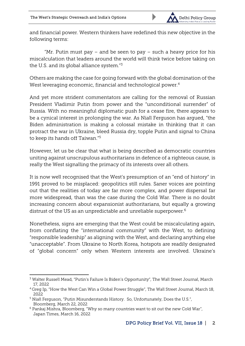

and financial power. Western thinkers have redefined this new objective in the following terms:

"Mr. Putin must pay  $-$  and be seen to pay  $-$  such a heavy price for his miscalculation that leaders around the world will think twice before taking on the U.S. and its global alliance system." 3

Others are making the case for going forward with the global domination of the West leveraging economic, financial and technological power.<sup>4</sup>

And yet more strident commentators are calling for the removal of Russian President Vladimir Putin from power and the "unconditional surrender" of Russia. With no meaningful diplomatic push for a cease fire, there appears to be a cynical interest in prolonging the war. As Niall Ferguson has argued, "the Biden administration is making a colossal mistake in thinking that it can protract the war in Ukraine, bleed Russia dry, topple Putin and signal to China to keep its hands off Taiwan." 5

However, let us be clear that what is being described as democratic countries uniting against unscrupulous authoritarians in defence of a righteous cause, is really the West signalling the primacy of its interests over all others.

It is now well recognised that the West's presumption of an "end of history" in 1991 proved to be misplaced: geopolitics still rules. Saner voices are pointing out that the realities of today are far more complex, and power dispersal far more widespread, than was the case during the Cold War. There is no doubt increasing concern about expansionist authoritarians, but equally a growing distrust of the US as an unpredictable and unreliable superpower.<sup>6</sup>

Nonetheless, signs are emerging that the West could be miscalculating again, from conflating the "international community" with the West, to defining "responsible leadership" as aligning with the West, and declaring anything else "unacceptable". From Ukraine to North Korea, hotspots are readily designated of "global concern" only when Western interests are involved. Ukraine's

<sup>1</sup> <sup>3</sup> Walter Russell Mead, "Putin's Failure Is Biden's Opportunity", The Wall Street Journal, March 17, 2022

<sup>4</sup> Greg Ip, "How the West Can Win a Global Power Struggle", The Wall Street Journal, March 18, 2022

<sup>5</sup> Niall Ferguson, "Putin Misunderstands History. So, Unfortunately, Does the U.S.", Bloomberg, March 22, 2022

<sup>6</sup> Pankaj Mishra, Bloomberg, "Why so many countries want to sit out the new Cold War", Japan Times, March 16, 2022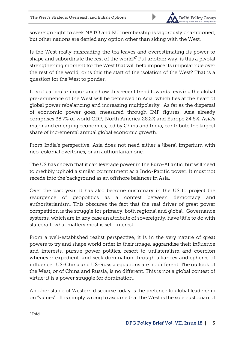

sovereign right to seek NATO and EU membership is vigorously championed, but other nations are denied any option other than siding with the West.

Is the West really misreading the tea leaves and overestimating its power to shape and subordinate the rest of the world?<sup>7</sup> Put another way, is this a pivotal strengthening moment for the West that will help impose its unipolar rule over the rest of the world, or is this the start of the isolation of the West? That is a question for the West to ponder.

It is of particular importance how this recent trend towards reviving the global pre-eminence of the West will be perceived in Asia, which lies at the heart of global power rebalancing and increasing multipolarity. As far as the dispersal of economic power goes, measured through IMF figures, Asia already comprises 38.7% of world GDP, North America 28.2% and Europe 24.8%. Asia's major and emerging economies, led by China and India, contribute the largest share of incremental annual global economic growth.

From India's perspective, Asia does not need either a liberal imperium with neo-colonial overtones, or an authoritarian one.

The US has shown that it can leverage power in the Euro-Atlantic, but will need to credibly uphold a similar commitment as a Indo-Pacific power. It must not recede into the background as an offshore balancer in Asia.

Over the past year, it has also become customary in the US to project the resurgence of geopolitics as a contest between democracy and authoritarianism. This obscures the fact that the real driver of great power competition is the struggle for primacy, both regional and global. Governance systems, which are in any case an attribute of sovereignty, have little to do with statecraft; what matters most is self-interest.

From a well-established realist perspective, it is in the very nature of great powers to try and shape world order in their image, aggrandise their influence and interests, pursue power politics, resort to unilateralism and coercion whenever expedient, and seek domination through alliances and spheres of influence. US-China and US-Russia equations are no different. The outlook of the West, or of China and Russia, is no different. This is not a global contest of virtue; it is a power struggle for domination.

Another staple of Western discourse today is the pretence to global leadership on "values". It is simply wrong to assume that the West is the sole custodian of

1 7 Ibid.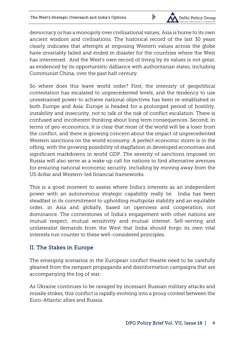

democracy or has a monopoly over civilisational values; Asia is home to its own ancient wisdom and civilisations. The historical record of the last 30 years clearly indicates that attempts at imposing Western values across the globe have invariably failed and ended in disaster for the countries where the West has intervened. And the West's own record of living by its values is not great, as evidenced by its opportunistic dalliance with authoritarian states, including Communist China, over the past half century.

So where does this leave world order? First, the intensity of geopolitical contestation has escalated to unprecedented levels, and the tendency to use unrestrained power to achieve national objectives has been re-established in both Europe and Asia. Europe is headed for a prolonged period of hostility, instability and insecurity, not to talk of the risk of conflict escalation. There is confused and incoherent thinking about long term consequences. Second, in terms of geo-economics, it is clear that most of the world will be a loser from the conflict, and there is growing concern about the impact of unprecedented Western sanctions on the world economy. A perfect economic storm is in the offing, with the growing possibility of stagflation in developed economies and significant markdowns in world GDP. The severity of sanctions imposed on Russia will also serve as a wake up call for nations to find alternative avenues for ensuring national economic security, including by moving away from the US dollar and Western-led financial frameworks.

This is a good moment to assess where India's interests as an independent power with an autonomous strategic capability really lie. India has been steadfast in its commitment to upholding multipolar stability and an equitable order, in Asia and globally, based on openness and cooperation, not dominance. The cornerstones of India's engagement with other nations are mutual respect, mutual sensitivity and mutual interest. Self-serving and unilateralist demands from the West that India should forgo its own vital interests run counter to these well-considered principles.

## <span id="page-6-0"></span>II. The Stakes in Europe

The emerging scenarios in the European conflict theatre need to be carefully gleaned from the rampant propaganda and disinformation campaigns that are accompanying the fog of war.

As Ukraine continues to be ravaged by incessant Russian military attacks and missile strikes, this conflict is rapidly evolving into a proxy contest between the Euro-Atlantic allies and Russia.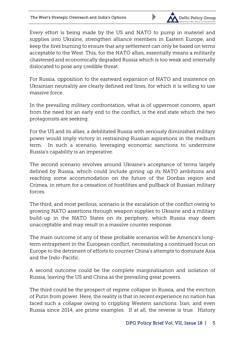

Every effort is being made by the US and NATO to pump in materiel and supplies into Ukraine, strengthen alliance members in Eastern Europe, and keep the fires burning to ensure that any settlement can only be based on terms acceptable to the West. This, for the NATO allies, essentially means a militarily chastened and economically degraded Russia which is too weak and internally dislocated to pose any credible threat.

For Russia, opposition to the eastward expansion of NATO and insistence on Ukrainian neutrality are clearly defined red lines, for which it is willing to use massive force.

In the prevailing military confrontation, what is of uppermost concern, apart from the need for an early end to the conflict, is the end state which the two protagonists are seeking.

For the US and its allies, a debilitated Russia with seriously diminished military power would imply victory in restraining Russian aspirations in the medium term. In such a scenario, leveraging economic sanctions to undermine Russia's capability is an imperative.

The second scenario revolves around Ukraine's acceptance of terms largely defined by Russia, which could include giving up its NATO ambitions and reaching some accommodation on the future of the Donbas region and Crimea, in return for a cessation of hostilities and pullback of Russian military forces.

The third, and most perilous, scenario is the escalation of the conflict owing to growing NATO assertions through weapon supplies to Ukraine and a military build-up in the NATO States on its periphery, which Russia may deem unacceptable and may result in a massive counter response.

The main outcome of any of these probable scenarios will be America's longterm entrapment in the European conflict, necessitating a continued focus on Europe to the detriment of efforts to counter China's attempts to dominate Asia and the Indo-Pacific.

A second outcome could be the complete marginalisation and isolation of Russia, leaving the US and China as the prevailing great powers.

The third could be the prospect of regime collapse in Russia, and the eviction of Putin from power. Here, the reality is that in recent experience no nation has faced such a collapse owing to crippling Western sanctions. Iran, and even Russia since 2014, are prime examples. If at all, the reverse is true. History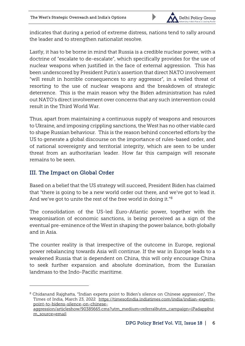

indicates that during a period of extreme distress, nations tend to rally around the leader and to strengthen nationalist resolve.

Lastly, it has to be borne in mind that Russia is a credible nuclear power, with a doctrine of "escalate to de-escalate", which specifically provides for the use of nuclear weapons when justified in the face of external aggression. This has been underscored by President Putin's assertion that direct NATO involvement "will result in horrible consequences to any aggressor", in a veiled threat of resorting to the use of nuclear weapons and the breakdown of strategic deterrence. This is the main reason why the Biden administration has ruled out NATO's direct involvement over concerns that any such intervention could result in the Third World War.

Thus, apart from maintaining a continuous supply of weapons and resources to Ukraine, and imposing crippling sanctions, the West has no other viable card to shape Russian behaviour. This is the reason behind concerted efforts by the US to generate a global discourse on the importance of rules-based order, and of national sovereignty and territorial integrity, which are seen to be under threat from an authoritarian leader. How far this campaign will resonate remains to be seen.

### <span id="page-8-0"></span>III. The Impact on Global Order

1

Based on a belief that the US strategy will succeed, President Biden has claimed that "there is going to be a new world order out there, and we've got to lead it. And we've got to unite the rest of the free world in doing it." $^8$ 

The consolidation of the US-led Euro-Atlantic power, together with the weaponisation of economic sanctions, is being perceived as a sign of the eventual pre-eminence of the West in shaping the power balance, both globally and in Asia.

The counter reality is that irrespective of the outcome in Europe, regional power rebalancing towards Asia will continue. If the war in Europe leads to a weakened Russia that is dependent on China, this will only encourage China to seek further expansion and absolute domination, from the Eurasian landmass to the Indo-Pacific maritime.

 $8$  Chidanand Rajghatta, "Indian experts point to Biden's silence on Chinese aggression", The Times of India, March 23, 2022 [https://timesofindia.indiatimes.com/india/indian-experts](https://timesofindia.indiatimes.com/india/indian-experts-point-to-bidens-silence-on-chinese-%252520aggression/articleshow/90385665.cms?utm_medium=referral&utm_campaign=iPadapp&utm_source=email)[point-to-bidens-silence-on-chinese-](https://timesofindia.indiatimes.com/india/indian-experts-point-to-bidens-silence-on-chinese-%252520aggression/articleshow/90385665.cms?utm_medium=referral&utm_campaign=iPadapp&utm_source=email)

[aggression/articleshow/90385665.cms?utm\\_medium=referral&utm\\_campaign=iPadapp&ut](https://timesofindia.indiatimes.com/india/indian-experts-point-to-bidens-silence-on-chinese-%252520aggression/articleshow/90385665.cms?utm_medium=referral&utm_campaign=iPadapp&utm_source=email) [m\\_source=email](https://timesofindia.indiatimes.com/india/indian-experts-point-to-bidens-silence-on-chinese-%252520aggression/articleshow/90385665.cms?utm_medium=referral&utm_campaign=iPadapp&utm_source=email)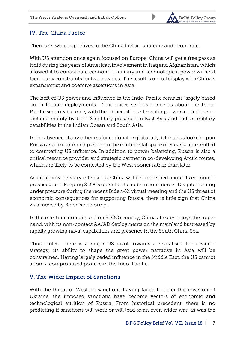

### <span id="page-9-0"></span>IV. The China Factor

There are two perspectives to the China factor: strategic and economic.

With US attention once again focused on Europe, China will get a free pass as it did during the years of American involvement in Iraq and Afghanistan, which allowed it to consolidate economic, military and technological power without facing any constraints for two decades. The result is on full display with China's expansionist and coercive assertions in Asia.

The heft of US power and influence in the Indo-Pacific remains largely based on in-theatre deployments. This raises serious concerns about the Indo-Pacific security balance, with the edifice of countervailing power and influence dictated mainly by the US military presence in East Asia and Indian military capabilities in the Indian Ocean and South Asia.

In the absence of any other major regional or global ally, China has looked upon Russia as a like-minded partner in the continental space of Eurasia, committed to countering US influence. In addition to power balancing, Russia is also a critical resource provider and strategic partner in co-developing Arctic routes, which are likely to be contested by the West sooner rather than later.

As great power rivalry intensifies, China will be concerned about its economic prospects and keeping SLOCs open for its trade in commerce. Despite coming under pressure during the recent Biden-Xi virtual meeting and the US threat of economic consequences for supporting Russia, there is little sign that China was moved by Biden's hectoring.

In the maritime domain and on SLOC security, China already enjoys the upper hand, with its non-contact AA/AD deployments on the mainland buttressed by rapidly growing naval capabilities and presence in the South China Sea.

Thus, unless there is a major US pivot towards a revitalised Indo-Pacific strategy, its ability to shape the great power narrative in Asia will be constrained. Having largely ceded influence in the Middle East, the US cannot afford a compromised posture in the Indo-Pacific.

#### <span id="page-9-1"></span>V. The Wider Impact of Sanctions

With the threat of Western sanctions having failed to deter the invasion of Ukraine, the imposed sanctions have become vectors of economic and technological attrition of Russia. From historical precedent, there is no predicting if sanctions will work or will lead to an even wider war, as was the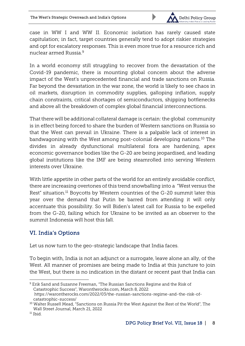

case in WW I and WW II. Economic isolation has rarely caused state capitulation; in fact, target countries generally tend to adopt riskier strategies and opt for escalatory responses. This is even more true for a resource rich and nuclear armed Russia<sup>9</sup>

In a world economy still struggling to recover from the devastation of the Covid-19 pandemic, there is mounting global concern about the adverse impact of the West's unprecedented financial and trade sanctions on Russia. Far beyond the devastation in the war zone, the world is likely to see chaos in oil markets, disruption in commodity supplies, galloping inflation, supply chain constraints, critical shortages of semiconductors, shipping bottlenecks and above all the breakdown of complex global financial interconnections.

That there will be additional collateral damage is certain: the global community is in effect being forced to share the burden of Western sanctions on Russia so that the West can prevail in Ukraine. There is a palpable lack of interest in bandwagoning with the West among post-colonial developing nations.<sup>10</sup> The divides in already dysfunctional multilateral fora are hardening, apex economic governance bodies like the G-20 are being jeopardised, and leading global institutions like the IMF are being steamrolled into serving Western interests over Ukraine.

With little appetite in other parts of the world for an entirely avoidable conflict, there are increasing overtones of this trend snowballing into a "West versus the Rest" situation.<sup>11</sup> Boycotts by Western countries of the G-20 summit later this year over the demand that Putin be barred from attending it will only accentuate this possibility. So will Biden's latest call for Russia to be expelled from the G-20, failing which for Ukraine to be invited as an observer to the summit Indonesia will host this fall.

## <span id="page-10-0"></span>VI. India's Options

Let us now turn to the geo-strategic landscape that India faces.

To begin with, India is not an adjunct or a surrogate, leave alone an ally, of the West. All manner of promises are being made to India at this juncture to join the West, but there is no indication in the distant or recent past that India can

1

<sup>9</sup> Erik Sand and Suzanne Freeman, "The Russian Sanctions Regime and the Risk of Catastrophic Success", *Warontherocks.com,* March 8, 2022 *https://warontherocks.com/2022/03/the-russian-sanctions-regime-and-the-risk-ofcatastrophic-success/*

<sup>&</sup>lt;sup>10</sup> Walter Russell Mead, "Sanctions on Russia Pit the West Against the Rest of the World", The Wall Street Journal, March 21, 2022

<sup>11</sup> Ibid.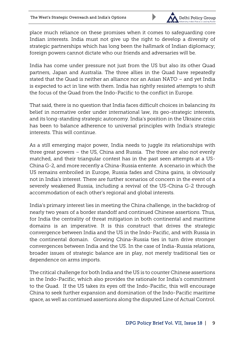

place much reliance on these promises when it comes to safeguarding core Indian interests. India must not give up the right to develop a diversity of strategic partnerships which has long been the hallmark of Indian diplomacy; foreign powers cannot dictate who our friends and adversaries will be.

India has come under pressure not just from the US but also its other Quad partners, Japan and Australia. The three allies in the Quad have repeatedly stated that the Quad is neither an alliance nor an Asian NATO – and yet India is expected to act in line with them. India has rightly resisted attempts to shift the focus of the Quad from the Indo-Pacific to the conflict in Europe.

That said, there is no question that India faces difficult choices in balancing its belief in normative order under international law, its geo-strategic interests, and its long-standing strategic autonomy. India's position in the Ukraine crisis has been to balance adherence to universal principles with India's strategic interests. This will continue.

As a still emerging major power, India needs to juggle its relationships with three great powers – the US, China and Russia. The three are also not evenly matched, and their triangular contest has in the past seen attempts at a US-China G-2, and more recently a China-Russia entente. A scenario in which the US remains embroiled in Europe, Russia fades and China gains, is obviously not in India's interest. There are further scenarios of concern in the event of a severely weakened Russia, including a revival of the US-China G-2 through accommodation of each other's regional and global interests.

India's primary interest lies in meeting the China challenge, in the backdrop of nearly two years of a border standoff and continued Chinese assertions. Thus, for India the centrality of threat mitigation in both continental and maritime domains is an imperative. It is this construct that drives the strategic convergence between India and the US in the Indo-Pacific, and with Russia in the continental domain. Growing China-Russia ties in turn drive stronger convergences between India and the US. In the case of India-Russia relations, broader issues of strategic balance are in play, not merely traditional ties or dependence on arms imports.

The critical challenge for both India and the US is to counter Chinese assertions in the Indo-Pacific, which also provides the rationale for India's commitment to the Quad. If the US takes its eyes off the Indo-Pacific, this will encourage China to seek further expansion and domination of the Indo-Pacific maritime space, as well as continued assertions along the disputed Line of Actual Control.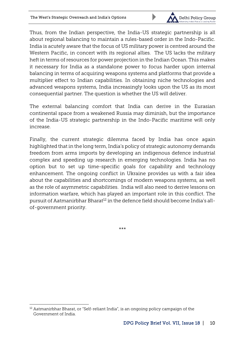

Thus, from the Indian perspective, the India-US strategic partnership is all about regional balancing to maintain a rules-based order in the Indo-Pacific. India is acutely aware that the focus of US military power is centred around the Western Pacific, in concert with its regional allies. The US lacks the military heft in terms of resources for power projection in the Indian Ocean. This makes it necessary for India as a standalone power to focus harder upon internal balancing in terms of acquiring weapons systems and platforms that provide a multiplier effect to Indian capabilities. In obtaining niche technologies and advanced weapons systems, India increasingly looks upon the US as its most consequential partner. The question is whether the US will deliver.

The external balancing comfort that India can derive in the Eurasian continental space from a weakened Russia may diminish, but the importance of the India-US strategic partnership in the Indo-Pacific maritime will only increase.

Finally, the current strategic dilemma faced by India has once again highlighted that in the long term, India's policy of strategic autonomy demands freedom from arms imports by developing an indigenous defence industrial complex and speeding up research in emerging technologies. India has no option but to set up time-specific goals for capability and technology enhancement. The ongoing conflict in Ukraine provides us with a fair idea about the capabilities and shortcomings of modern weapons systems, as well as the role of asymmetric capabilities. India will also need to derive lessons on information warfare, which has played an important role in this conflict. The pursuit of Aatmanirbhar Bharat<sup>12</sup> in the defence field should become India's allof-government priority.

\*\*\*

1

<sup>12</sup> Aatmanirbhar Bharat, or "Self-reliant India", is an ongoing policy campaign of the Government of India.